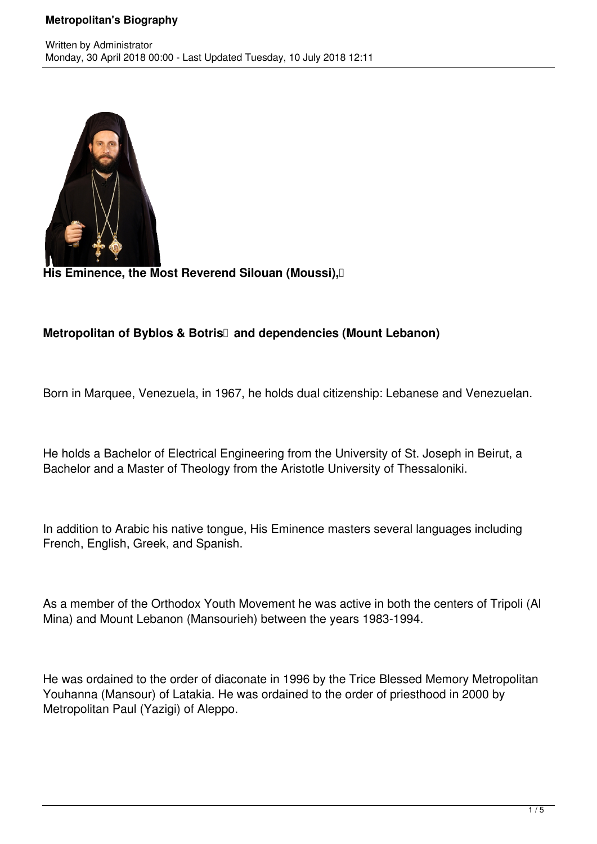## **Metropolitan's Biography**



His Eminence, the Most Reverend Silouan (Moussi), [

## **Metropolitan of Byblos & Botris** and dependencies (Mount Lebanon)

Born in Marquee, Venezuela, in 1967, he holds dual citizenship: Lebanese and Venezuelan.

He holds a Bachelor of Electrical Engineering from the University of St. Joseph in Beirut, a Bachelor and a Master of Theology from the Aristotle University of Thessaloniki.

In addition to Arabic his native tongue, His Eminence masters several languages including French, English, Greek, and Spanish.

As a member of the Orthodox Youth Movement he was active in both the centers of Tripoli (Al Mina) and Mount Lebanon (Mansourieh) between the years 1983-1994.

He was ordained to the order of diaconate in 1996 by the Trice Blessed Memory Metropolitan Youhanna (Mansour) of Latakia. He was ordained to the order of priesthood in 2000 by Metropolitan Paul (Yazigi) of Aleppo.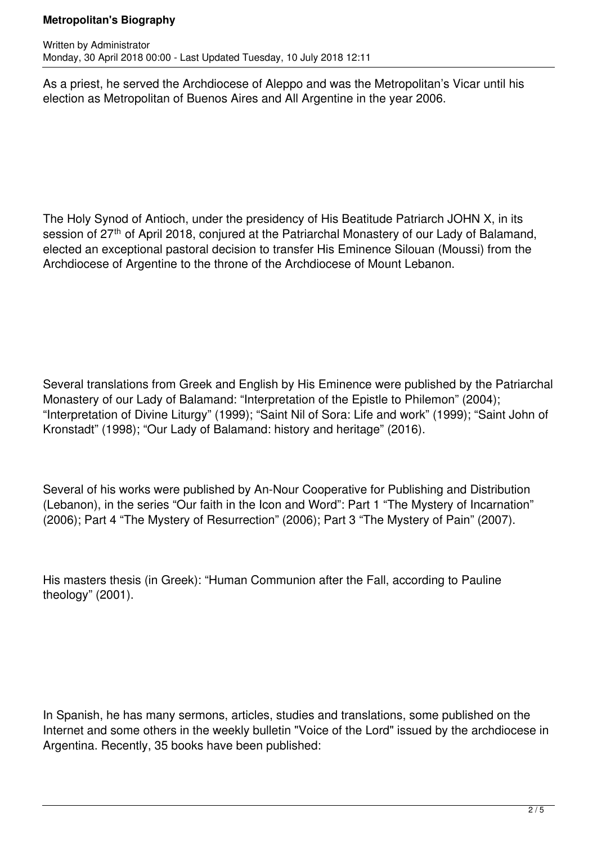## **Metropolitan's Biography**

As a priest, he served the Archdiocese of Aleppo and was the Metropolitan's Vicar until his election as Metropolitan of Buenos Aires and All Argentine in the year 2006.

The Holy Synod of Antioch, under the presidency of His Beatitude Patriarch JOHN X, in its session of 27<sup>th</sup> of April 2018, conjured at the Patriarchal Monastery of our Lady of Balamand, elected an exceptional pastoral decision to transfer His Eminence Silouan (Moussi) from the Archdiocese of Argentine to the throne of the Archdiocese of Mount Lebanon.

Several translations from Greek and English by His Eminence were published by the Patriarchal Monastery of our Lady of Balamand: "Interpretation of the Epistle to Philemon" (2004); "Interpretation of Divine Liturgy" (1999); "Saint Nil of Sora: Life and work" (1999); "Saint John of Kronstadt" (1998); "Our Lady of Balamand: history and heritage" (2016).

Several of his works were published by An-Nour Cooperative for Publishing and Distribution (Lebanon), in the series "Our faith in the Icon and Word": Part 1 "The Mystery of Incarnation" (2006); Part 4 "The Mystery of Resurrection" (2006); Part 3 "The Mystery of Pain" (2007).

His masters thesis (in Greek): "Human Communion after the Fall, according to Pauline theology" (2001).

In Spanish, he has many sermons, articles, studies and translations, some published on the Internet and some others in the weekly bulletin "Voice of the Lord" issued by the archdiocese in Argentina. Recently, 35 books have been published: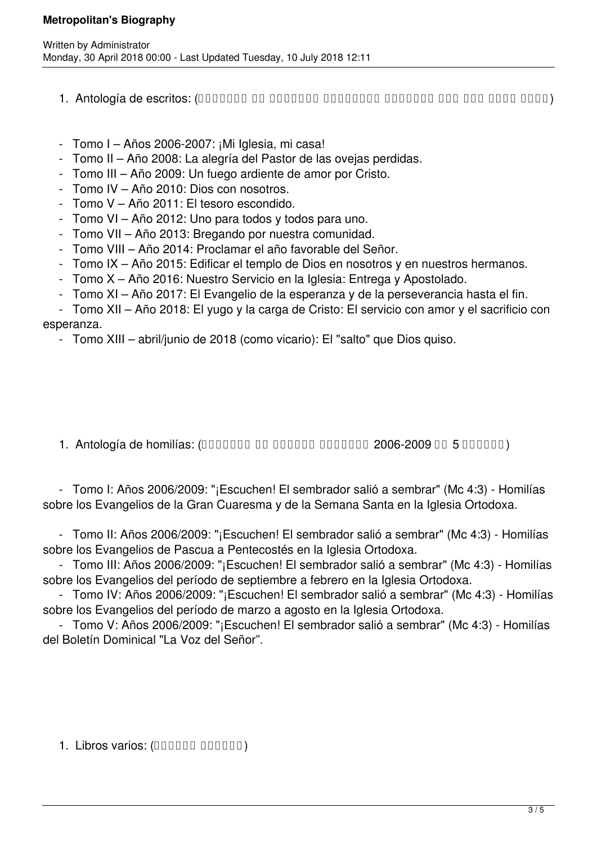## **Metropolitan's Biography**

- (سنوي مجلد شكل على الرعوية والكلمات الرسائل من مختارات) :escritos de Antología 1.
- Tomo I Años 2006-2007: ¡Mi Iglesia, mi casa!
- Tomo II Año 2008: La alegría del Pastor de las ovejas perdidas.
- Tomo III Año 2009: Un fuego ardiente de amor por Cristo.
- Tomo IV Año 2010: Dios con nosotros.
- Tomo V Año 2011: El tesoro escondido.
- Tomo VI Año 2012: Uno para todos y todos para uno.
- Tomo VII Año 2013: Bregando por nuestra comunidad.
- Tomo VIII Año 2014: Proclamar el año favorable del Señor.
- Tomo IX Año 2015: Edificar el templo de Dios en nosotros y en nuestros hermanos.
- Tomo X Año 2016: Nuestro Servicio en la Iglesia: Entrega y Apostolado.
- Tomo XI Año 2017: El Evangelio de la esperanza y de la perseverancia hasta el fin.

 - Tomo XII – Año 2018: El yugo y la carga de Cristo: El servicio con amor y el sacrificio con esperanza.

- Tomo XIII – abril/junio de 2018 (como vicario): El "salto" que Dios quiso.

1. Antología de homilías: (DODODO DO DODODO DODODO 2006-2009 DO 5 DODODO)

 - Tomo I: Años 2006/2009: "¡Escuchen! El sembrador salió a sembrar" (Mc 4:3) - Homilías sobre los Evangelios de la Gran Cuaresma y de la Semana Santa en la Iglesia Ortodoxa.

 - Tomo II: Años 2006/2009: "¡Escuchen! El sembrador salió a sembrar" (Mc 4:3) - Homilías sobre los Evangelios de Pascua a Pentecostés en la Iglesia Ortodoxa.

 - Tomo III: Años 2006/2009: "¡Escuchen! El sembrador salió a sembrar" (Mc 4:3) - Homilías sobre los Evangelios del período de septiembre a febrero en la Iglesia Ortodoxa.

 - Tomo IV: Años 2006/2009: "¡Escuchen! El sembrador salió a sembrar" (Mc 4:3) - Homilías sobre los Evangelios del período de marzo a agosto en la Iglesia Ortodoxa.

 - Tomo V: Años 2006/2009: "¡Escuchen! El sembrador salió a sembrar" (Mc 4:3) - Homilías del Boletín Dominical "La Voz del Señor".

1. Libros varios: (DODOOO DODOOO)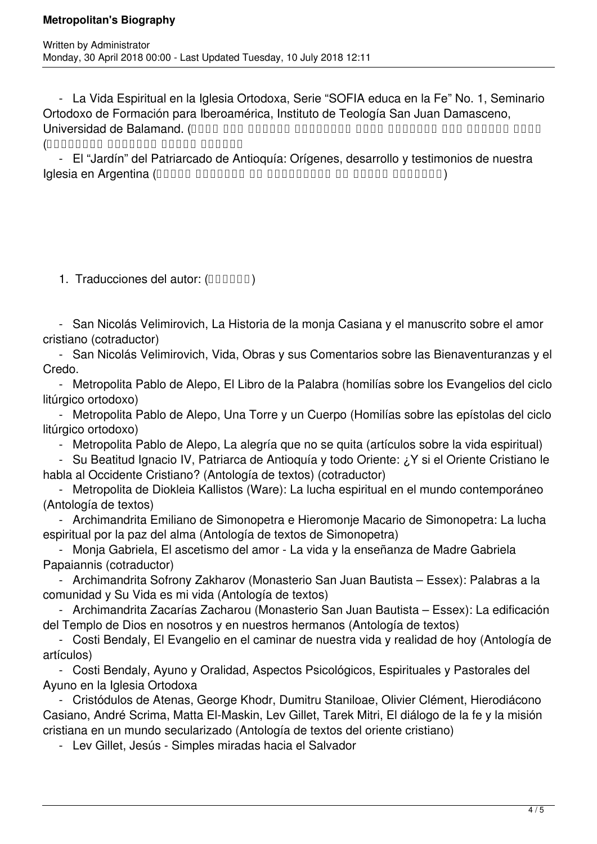- La Vida Espiritual en la Iglesia Ortodoxa, Serie "SOFIA educa en la Fe" No. 1, Seminario Ortodoxo de Formación para Iberoamérica, Instituto de Teología San Juan Damasceno, معهد برنامج عبر تعليمية مادة ،الروحية الحياة إلى مدخل) .Balamand de Universidad القديس يوحنا الدمشقي اللاهوتي)

 - El "Jardín" del Patriarcado de Antioquía: Orígenes, desarrollo y testimonios de nuestra (العشرين القرن في الأرجنتين في الكنيسة تاريخ) Argentina en Iglesia

1. Traducciones del autor: (DODOOD)

 - San Nicolás Velimirovich, La Historia de la monja Casiana y el manuscrito sobre el amor cristiano (cotraductor)

 - San Nicolás Velimirovich, Vida, Obras y sus Comentarios sobre las Bienaventuranzas y el Credo.

 - Metropolita Pablo de Alepo, El Libro de la Palabra (homilías sobre los Evangelios del ciclo litúrgico ortodoxo)

 - Metropolita Pablo de Alepo, Una Torre y un Cuerpo (Homilías sobre las epístolas del ciclo litúrgico ortodoxo)

- Metropolita Pablo de Alepo, La alegría que no se quita (artículos sobre la vida espiritual)

 - Su Beatitud Ignacio IV, Patriarca de Antioquía y todo Oriente: ¿Y si el Oriente Cristiano le habla al Occidente Cristiano? (Antología de textos) (cotraductor)

 - Metropolita de Diokleia Kallistos (Ware): La lucha espiritual en el mundo contemporáneo (Antología de textos)

 - Archimandrita Emiliano de Simonopetra e Hieromonje Macario de Simonopetra: La lucha espiritual por la paz del alma (Antología de textos de Simonopetra)

 - Monja Gabriela, El ascetismo del amor - La vida y la enseñanza de Madre Gabriela Papaiannis (cotraductor)

 - Archimandrita Sofrony Zakharov (Monasterio San Juan Bautista – Essex): Palabras a la comunidad y Su Vida es mi vida (Antología de textos)

 - Archimandrita Zacarías Zacharou (Monasterio San Juan Bautista – Essex): La edificación del Templo de Dios en nosotros y en nuestros hermanos (Antología de textos)

 - Costi Bendaly, El Evangelio en el caminar de nuestra vida y realidad de hoy (Antología de artículos)

 - Costi Bendaly, Ayuno y Oralidad, Aspectos Psicológicos, Espirituales y Pastorales del Ayuno en la Iglesia Ortodoxa

 - Cristódulos de Atenas, George Khodr, Dumitru Staniloae, Olivier Clément, Hierodiácono Casiano, André Scrima, Matta El-Maskin, Lev Gillet, Tarek Mitri, El diálogo de la fe y la misión cristiana en un mundo secularizado (Antología de textos del oriente cristiano)

- Lev Gillet, Jesús - Simples miradas hacia el Salvador